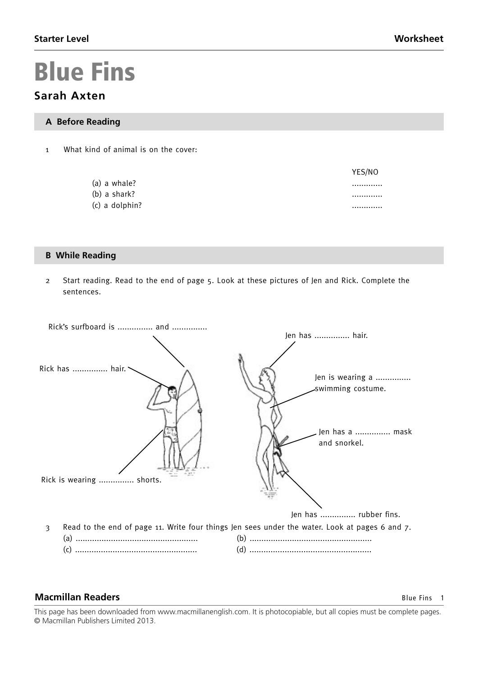YES/NO

# **Blue Fins**

# **Sarah Axten**

#### **A Before Reading**

1 What kind of animal is on the cover:

| (a) a whale? |  |
|--------------|--|
|--------------|--|

- (b) a shark? .............
- (c) a dolphin? .............

#### **B While Reading**

2 Start reading. Read to the end of page 5. Look at these pictures of Jen and Rick. Complete the sentences.



#### **Macmillan Readers Blue Fins 1**

This page has been downloaded from www.macmillanenglish.com. It is photocopiable, but all copies must be complete pages.<br>® Masmillar Rublisham Limitad 2012  $\bullet$  Macmillan Heinemann Elt Heinemann Elt Heinemann Elt Heinemann Elt Harcourt Education, used under licence. © Macmillan Publishers Limited 2013.